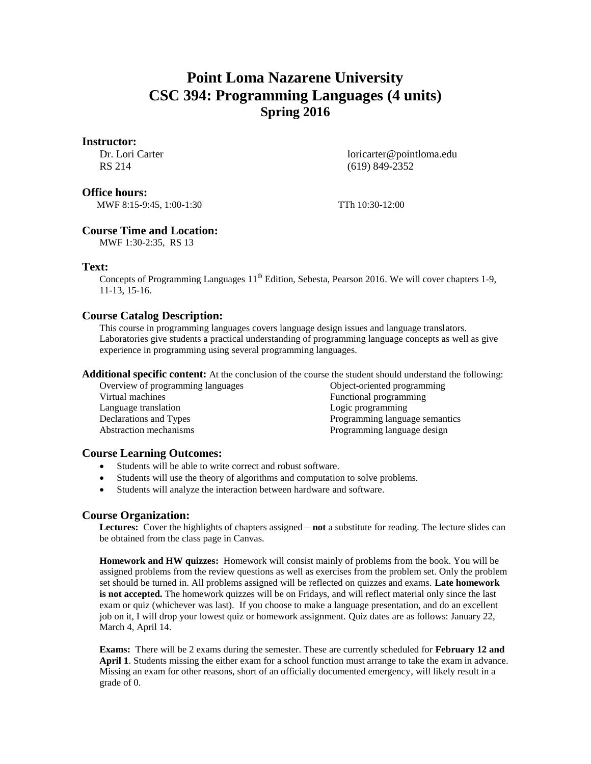# **Point Loma Nazarene University CSC 394: Programming Languages (4 units) Spring 2016**

## **Instructor:**

Dr. Lori Carter RS 214

loricarter@pointloma.edu (619) 849-2352

## **Office hours:**

MWF 8:15-9:45, 1:00-1:30 TTh 10:30-12:00

# **Course Time and Location:**

MWF 1:30-2:35, RS 13

## **Text:**

Concepts of Programming Languages 11<sup>th</sup> Edition, Sebesta, Pearson 2016. We will cover chapters 1-9, 11-13, 15-16.

# **Course Catalog Description:**

This course in programming languages covers language design issues and language translators. Laboratories give students a practical understanding of programming language concepts as well as give experience in programming using several programming languages.

**Additional specific content:** At the conclusion of the course the student should understand the following:

Overview of programming languages Virtual machines Language translation Declarations and Types Abstraction mechanisms

Object-oriented programming Functional programming Logic programming Programming language semantics Programming language design

# **Course Learning Outcomes:**

- Students will be able to write correct and robust software.
- Students will use the theory of algorithms and computation to solve problems.
- Students will analyze the interaction between hardware and software.

# **Course Organization:**

**Lectures:** Cover the highlights of chapters assigned – **not** a substitute for reading. The lecture slides can be obtained from the class page in Canvas.

**Homework and HW quizzes:** Homework will consist mainly of problems from the book. You will be assigned problems from the review questions as well as exercises from the problem set. Only the problem set should be turned in. All problems assigned will be reflected on quizzes and exams. **Late homework is not accepted.** The homework quizzes will be on Fridays, and will reflect material only since the last exam or quiz (whichever was last). If you choose to make a language presentation, and do an excellent job on it, I will drop your lowest quiz or homework assignment. Quiz dates are as follows: January 22, March 4, April 14.

**Exams:** There will be 2 exams during the semester. These are currently scheduled for **February 12 and April 1**. Students missing the either exam for a school function must arrange to take the exam in advance. Missing an exam for other reasons, short of an officially documented emergency, will likely result in a grade of 0.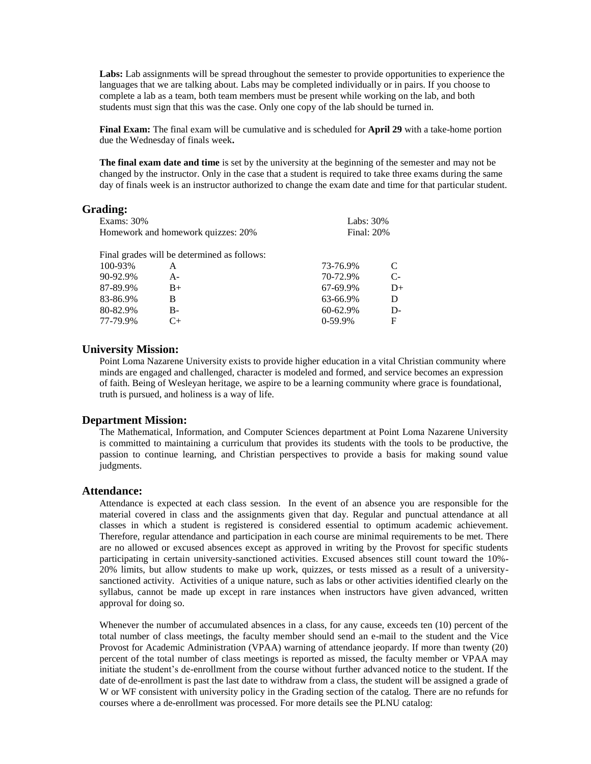**Labs:** Lab assignments will be spread throughout the semester to provide opportunities to experience the languages that we are talking about. Labs may be completed individually or in pairs. If you choose to complete a lab as a team, both team members must be present while working on the lab, and both students must sign that this was the case. Only one copy of the lab should be turned in.

**Final Exam:** The final exam will be cumulative and is scheduled for **April 29** with a take-home portion due the Wednesday of finals week**.**

**The final exam date and time** is set by the university at the beginning of the semester and may not be changed by the instructor. Only in the case that a student is required to take three exams during the same day of finals week is an instructor authorized to change the exam date and time for that particular student.

### **Grading:**

| <b>Exams: 30%</b>                  |                                             |  | Labs: $30\%$      |            |  |
|------------------------------------|---------------------------------------------|--|-------------------|------------|--|
| Homework and homework quizzes: 20% |                                             |  | <b>Final: 20%</b> |            |  |
|                                    | Final grades will be determined as follows: |  |                   |            |  |
| 100-93%                            | A                                           |  | 73-76.9%          | C          |  |
| 90-92.9%                           | $A -$                                       |  | 70-72.9%          | $C_{\tau}$ |  |
| 87-89.9%                           | $B+$                                        |  | 67-69.9%          | $D+$       |  |
| 83-86.9%                           | B                                           |  | 63-66.9%          | D          |  |
| 80-82.9%                           | $B -$                                       |  | 60-62.9%          | $D -$      |  |
| 77-79.9%                           | C+                                          |  | $0-59.9%$         | F          |  |
|                                    |                                             |  |                   |            |  |

## **University Mission:**

Point Loma Nazarene University exists to provide higher education in a vital Christian community where minds are engaged and challenged, character is modeled and formed, and service becomes an expression of faith. Being of Wesleyan heritage, we aspire to be a learning community where grace is foundational, truth is pursued, and holiness is a way of life.

#### **Department Mission:**

The Mathematical, Information, and Computer Sciences department at Point Loma Nazarene University is committed to maintaining a curriculum that provides its students with the tools to be productive, the passion to continue learning, and Christian perspectives to provide a basis for making sound value judgments.

#### **Attendance:**

Attendance is expected at each class session. In the event of an absence you are responsible for the material covered in class and the assignments given that day. Regular and punctual attendance at all classes in which a student is registered is considered essential to optimum academic achievement. Therefore, regular attendance and participation in each course are minimal requirements to be met. There are no allowed or excused absences except as approved in writing by the Provost for specific students participating in certain university-sanctioned activities. Excused absences still count toward the 10%- 20% limits, but allow students to make up work, quizzes, or tests missed as a result of a universitysanctioned activity. Activities of a unique nature, such as labs or other activities identified clearly on the syllabus, cannot be made up except in rare instances when instructors have given advanced, written approval for doing so.

Whenever the number of accumulated absences in a class, for any cause, exceeds ten (10) percent of the total number of class meetings, the faculty member should send an e-mail to the student and the Vice Provost for Academic Administration (VPAA) warning of attendance jeopardy. If more than twenty (20) percent of the total number of class meetings is reported as missed, the faculty member or VPAA may initiate the student's de-enrollment from the course without further advanced notice to the student. If the date of de-enrollment is past the last date to withdraw from a class, the student will be assigned a grade of W or WF consistent with university policy in the Grading section of the catalog. There are no refunds for courses where a de-enrollment was processed. For more details see the PLNU catalog: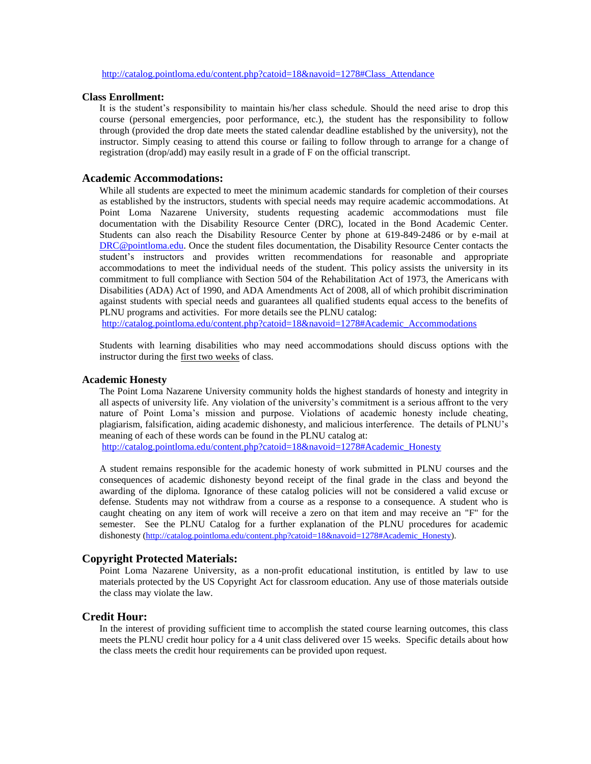[http://catalog.pointloma.edu/content.php?catoid=18&navoid=1278#Class\\_Attendance](http://catalog.pointloma.edu/content.php?catoid=18&navoid=1278#Class_Attendance)

#### **Class Enrollment:**

It is the student's responsibility to maintain his/her class schedule. Should the need arise to drop this course (personal emergencies, poor performance, etc.), the student has the responsibility to follow through (provided the drop date meets the stated calendar deadline established by the university), not the instructor. Simply ceasing to attend this course or failing to follow through to arrange for a change of registration (drop/add) may easily result in a grade of F on the official transcript.

#### **Academic Accommodations:**

While all students are expected to meet the minimum academic standards for completion of their courses as established by the instructors, students with special needs may require academic accommodations. At Point Loma Nazarene University, students requesting academic accommodations must file documentation with the Disability Resource Center (DRC), located in the Bond Academic Center. Students can also reach the Disability Resource Center by phone at 619-849-2486 or by e-mail at [DRC@pointloma.edu.](mailto:DRC@pointloma.edu) Once the student files documentation, the Disability Resource Center contacts the student's instructors and provides written recommendations for reasonable and appropriate accommodations to meet the individual needs of the student. This policy assists the university in its commitment to full compliance with Section 504 of the Rehabilitation Act of 1973, the Americans with Disabilities (ADA) Act of 1990, and ADA Amendments Act of 2008, all of which prohibit discrimination against students with special needs and guarantees all qualified students equal access to the benefits of PLNU programs and activities. For more details see the PLNU catalog:

[http://catalog.pointloma.edu/content.php?catoid=18&navoid=1278#Academic\\_Accommodations](http://catalog.pointloma.edu/content.php?catoid=18&navoid=1278#Academic_Accommodations) 

Students with learning disabilities who may need accommodations should discuss options with the instructor during the first two weeks of class.

#### **Academic Honesty**

The Point Loma Nazarene University community holds the highest standards of honesty and integrity in all aspects of university life. Any violation of the university's commitment is a serious affront to the very nature of Point Loma's mission and purpose. Violations of academic honesty include cheating, plagiarism, falsification, aiding academic dishonesty, and malicious interference. The details of PLNU's meaning of each of these words can be found in the PLNU catalog at:

[http://catalog.pointloma.edu/content.php?catoid=18&navoid=1278#Academic\\_Honesty](http://catalog.pointloma.edu/content.php?catoid=18&navoid=1278#Academic_Honesty)

A student remains responsible for the academic honesty of work submitted in PLNU courses and the consequences of academic dishonesty beyond receipt of the final grade in the class and beyond the awarding of the diploma. Ignorance of these catalog policies will not be considered a valid excuse or defense. Students may not withdraw from a course as a response to a consequence. A student who is caught cheating on any item of work will receive a zero on that item and may receive an "F" for the semester. See the PLNU Catalog for a further explanation of the PLNU procedures for academic dishonesty [\(http://catalog.pointloma.edu/content.php?catoid=18&navoid=1278#Academic\\_Honesty\)](http://catalog.pointloma.edu/content.php?catoid=18&navoid=1278#Academic_Honesty).

### **Copyright Protected Materials:**

Point Loma Nazarene University, as a non-profit educational institution, is entitled by law to use materials protected by the US Copyright Act for classroom education. Any use of those materials outside the class may violate the law.

## **Credit Hour:**

In the interest of providing sufficient time to accomplish the stated course learning outcomes, this class meets the PLNU credit hour policy for a 4 unit class delivered over 15 weeks. Specific details about how the class meets the credit hour requirements can be provided upon request.